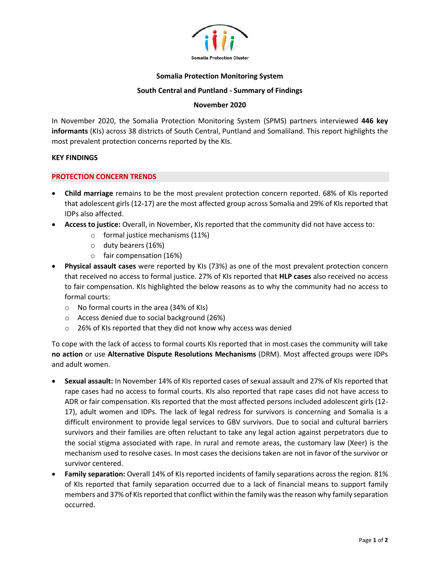

# **Somalia Protection Monitoring System**

## **South Central and Puntland - Summary of Findings**

# **November 2020**

In November 2020, the Somalia Protection Monitoring System (SPMS) partners interviewed **446 key informants** (KIs) across 38 districts of South Central, Puntland and Somaliland. This report highlights the most prevalent protection concerns reported by the KIs.

### **KEY FINDINGS**

### **PROTECTION CONCERN TRENDS**

- **Child marriage** remains to be the most prevalent protection concern reported. 68% of KIs reported that adolescent girls (12-17) are the most affected group across Somalia and 29% of KIs reported that IDPs also affected.
- **Access to justice:** Overall, in November, KIs reported that the community did not have access to:
	- $\circ$  formal justice mechanisms (11%)
	- o duty bearers (16%)
	- o fair compensation (16%)
- **Physical assault cases** were reported by KIs (73%) as one of the most prevalent protection concern that received no access to formal justice. 27% of KIs reported that **HLP cases** also received no access to fair compensation. KIs highlighted the below reasons as to why the community had no access to formal courts:
	- o No formal courts in the area (34% of KIs)
	- o Access denied due to social background (26%)
	- o 26% of KIs reported that they did not know why access was denied

To cope with the lack of access to formal courts KIs reported that in most cases the community will take **no action** or use **Alternative Dispute Resolutions Mechanisms** (DRM). Most affected groups were IDPs and adult women.

- **Sexual assault:** In November 14% of KIs reported cases of sexual assault and 27% of KIs reported that rape cases had no access to formal courts. KIs also reported that rape cases did not have access to ADR or fair compensation. KIs reported that the most affected persons included adolescent girls (12- 17), adult women and IDPs. The lack of legal redress for survivors is concerning and Somalia is a difficult environment to provide legal services to GBV survivors. Due to social and cultural barriers survivors and their families are often reluctant to take any legal action against perpetrators due to the social stigma associated with rape. In rural and remote areas, the customary law (Xeer) is the mechanism used to resolve cases. In most cases the decisions taken are not in favor of the survivor or survivor centered.
- **Family separation:** Overall 14% of KIs reported incidents of family separations across the region. 81% of KIs reported that family separation occurred due to a lack of financial means to support family members and 37% of KIs reported that conflict within the family was the reason why family separation occurred.